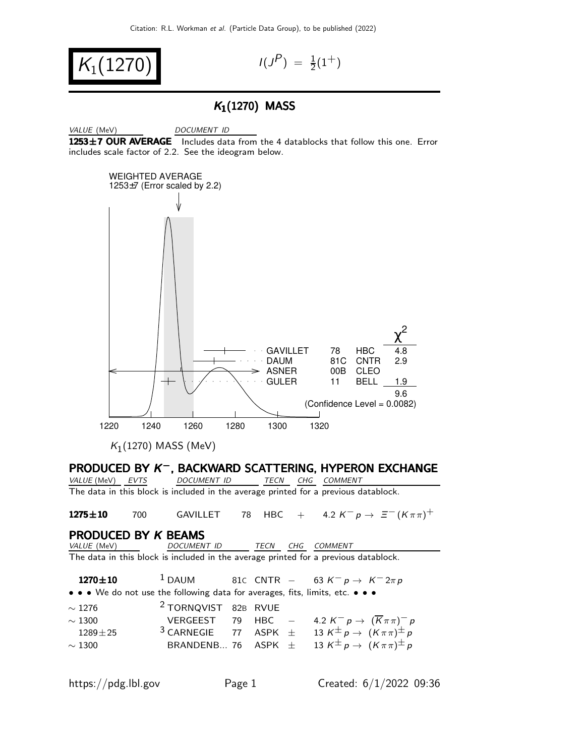$$
K_1(1270) \qquad \qquad \text{if } \quad
$$

 $P$ ) =  $\frac{1}{2}(1^+)$ 

#### $K_1(1270)$  MASS

VALUE (MeV) DOCUMENT ID 1253±7 OUR AVERAGE Includes data from the 4 datablocks that follow this one. Error includes scale factor of 2.2. See the ideogram below.



### PRODUCED BY K<sup>-</sup>, BACKWARD SCATTERING, HYPERON EXCHANGE

VALUE (MeV) EVTS DOCUMENT ID TECN CHG COMMENT The data in this block is included in the average printed for a previous datablock.

**1275±10** 700 GAVILLET 78 HBC + 4.2  $K^- p \to \Xi^- (K \pi \pi)^+$ 

# **PRODUCED BY K BEAMS**<br>*VALUE* (MeV) *DOCUMENT ID*

TECN CHG COMMENT The data in this block is included in the average printed for a previous datablock.

**1270±10** <sup>1</sup> DAUM 81C CNTR – 63 K<sup>-</sup> p → K<sup>-</sup>2 $\pi$  p

• • • We do not use the following data for averages, fits, limits, etc. • • •

| $\sim$ 1276 | <sup>2</sup> TORNQVIST 82B RVUE |  |                                                                                                            |
|-------------|---------------------------------|--|------------------------------------------------------------------------------------------------------------|
| $\sim$ 1300 |                                 |  | VERGEEST 79 HBC $-$ 4.2 $K^- p \rightarrow (\overline{K} \pi \pi)^- p$                                     |
| $1289 + 25$ |                                 |  | <sup>3</sup> CARNEGIE 77 ASPK $\pm$ 13 K <sup><math>\pm</math></sup> p $\rightarrow$ $(K \pi \pi)^{\pm} p$ |
| $\sim$ 1300 |                                 |  | BRANDENB 76 ASPK $\pm$ 13 K <sup><math>\pm</math></sup> $p \rightarrow (K \pi \pi)^{\pm} p$                |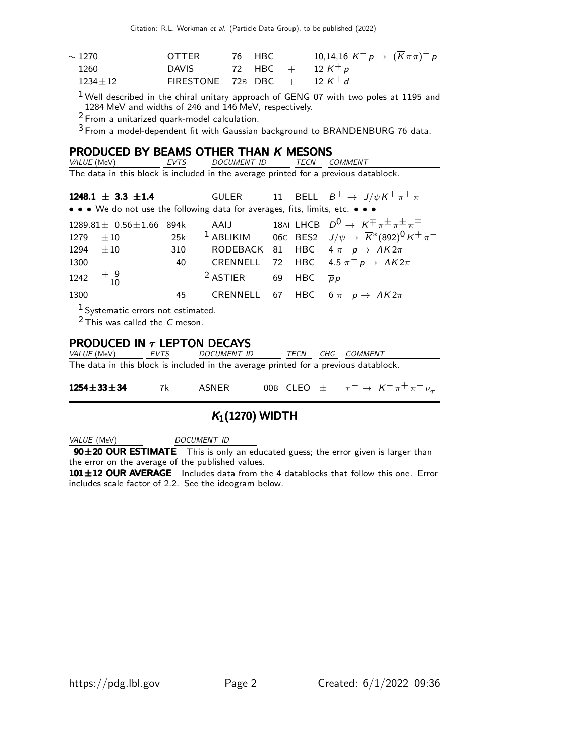Citation: R.L. Workman et al. (Particle Data Group), to be published (2022)

| $\sim$ 1270 $^{\circ}$ | <b>OTTER</b>                              |  | 76 HBC $-$ 10,14,16 $K^- p \to (\overline{K} \pi \pi)^- p$ |
|------------------------|-------------------------------------------|--|------------------------------------------------------------|
| 1260                   | DAVIS 72 HBC + 12 K <sup>+</sup> p        |  |                                                            |
| $1234 + 12$            | FIRESTONE 72B DBC $+$ 12 K <sup>+</sup> d |  |                                                            |

 $1$  Well described in the chiral unitary approach of GENG 07 with two poles at 1195 and 1284 MeV and widths of 246 and 146 MeV, respectively.

<sup>2</sup> From a unitarized quark-model calculation.

 $3$  From a model-dependent fit with Gaussian background to BRANDENBURG 76 data.

# **PRODUCED BY BEAMS OTHER THAN K MESONS**<br>VALUE (MeV) EVTS DOCUMENT ID TECN C

TECN COMMENT The data in this block is included in the average printed for a previous datablock.

**1248.1 ± 3.3 ±1.4** GULER 11 BELL  $B^+ \to J/\psi K^+ \pi^+ \pi^-$ • • • We do not use the following data for averages, fits, limits, etc. • • • 1289.81 $\pm$  0.56 $\pm$ 1.66 894k AAIJ 18AI LHCB  $D^0 \rightarrow K^{\mp} \pi^{\pm} \pi^{\pm} \pi^{\mp}$ 1279  $\pm 10$  25k <sup>1</sup> ABLIKIM 06C BES2  $J/\psi \to \overline{K}^*(892)^0 K^+ \pi^-$ 1294  $\pm 10$  310 RODEBACK 81 HBC  $4 \pi^- p \rightarrow AK2\pi$ 1300 40 CRENNELL 72 HBC  $4.5 \pi^- p \rightarrow AK2\pi$  $1242 + 9$  $-10$ <sup>2</sup> ASTIER 69 HBC  $\overline{p}p$ 1300 45 CRENNELL 67 HBC  $6 \pi^- p \rightarrow A K 2\pi$ 1 Systematic errors not estimated.  $2$  This was called the C meson.

# **PRODUCED IN**  $\tau$  **LEPTON DECAYS**<br>VALUE (MeV) EVTS DOCUMENT ID

TECN CHG COMMENT The data in this block is included in the average printed for a previous datablock.

| $1254 \pm 33 \pm 34$ |  | 7k ASNER |  | 00B CLEO $\pm \tau^- \rightarrow K^- \pi^+ \pi^- \nu_\tau$ |
|----------------------|--|----------|--|------------------------------------------------------------|
|----------------------|--|----------|--|------------------------------------------------------------|

### $K_1(1270)$  WIDTH

VALUE (MeV) DOCUMENT ID

90±20 OUR ESTIMATE This is only an educated guess; the error given is larger than the error on the average of the published values.

101±12 OUR AVERAGE Includes data from the 4 datablocks that follow this one. Error includes scale factor of 2.2. See the ideogram below.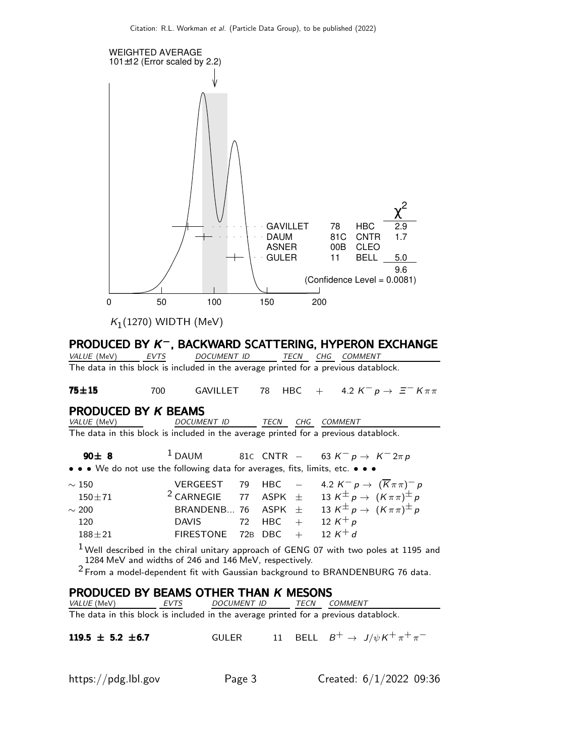

 $K_1(1270)$  WIDTH (MeV)

### PRODUCED BY K<sup>-</sup>, BACKWARD SCATTERING, HYPERON EXCHANGE

VALUE (MeV) EVTS DOCUMENT ID TECN CHG COMMENT The data in this block is included in the average printed for a previous datablock.

**75±15** 700 GAVILLET 78 HBC + 4.2  $K^- p \rightarrow \Xi^- K \pi \pi$ 

## **PRODUCED BY K BEAMS**<br>VALUE (MeV) DOCUMENT ID

TECN CHG COMMENT

The data in this block is included in the average printed for a previous datablock.

90± 8  $1$  DAUM 81C CNTR − 63 K<sup>-</sup> p → K<sup>-</sup> 2 $\pi$  p • • • We do not use the following data for averages, fits, limits, etc. • • •

| $\sim 150$     |                                |  | VERGEEST 79 HBC $-$ 4.2 $K^- p \rightarrow (\overline{K} \pi \pi)^- p$                        |
|----------------|--------------------------------|--|-----------------------------------------------------------------------------------------------|
| $150\!\pm\!71$ |                                |  | <sup>2</sup> CARNEGIE 77 ASPK $\pm$ 13 K <sup><math>\pm</math></sup> p $(K \pi \pi)^{\pm} p$  |
| $\sim 200$     |                                |  | BRANDENB 76 ASPK $\pm$ 13 K <sup><math>\pm</math></sup> p $\rightarrow$ $(K \pi \pi)^{\pm} p$ |
| 120            | DAVIS 72 HBC + 12 $K^+ p$      |  |                                                                                               |
| $188 + 21$     | FIRESTONE 72B DBC + 12 $K^+ d$ |  |                                                                                               |

 $1$  Well described in the chiral unitary approach of GENG 07 with two poles at 1195 and 1284 MeV and widths of 246 and 146 MeV, respectively.

<sup>2</sup> From a model-dependent fit with Gaussian background to BRANDENBURG 76 data.

# **PRODUCED BY BEAMS OTHER THAN K MESONS**<br>VALUE (MeV) EVTS DOCUMENT ID TECN C

TECN COMMENT The data in this block is included in the average printed for a previous datablock.

119.5 ± 5.2 ±6.7 GULER 11 BELL  $B^+ \to J/\psi K^+ \pi^+ \pi^-$ 

| https://pdg.lbl.gov<br>Page 3 |  | Created: $6/1/2022$ 09:36 |  |
|-------------------------------|--|---------------------------|--|
|-------------------------------|--|---------------------------|--|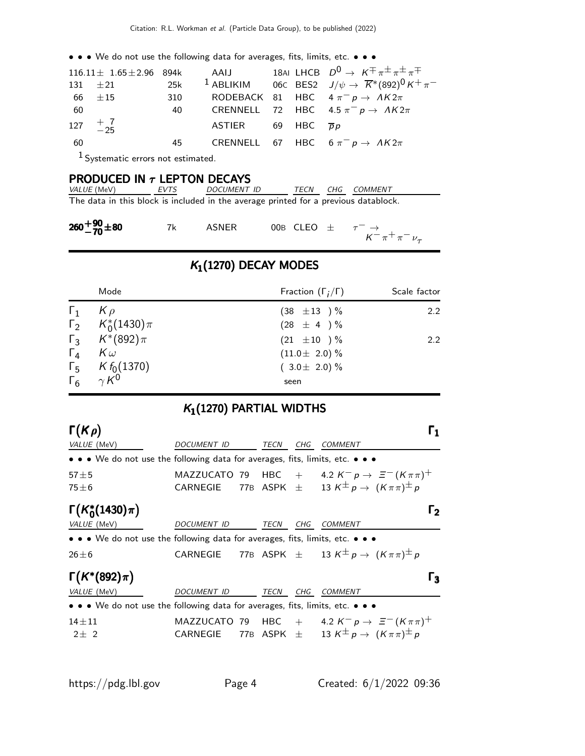• • • We do not use the following data for averages, fits, limits, etc. • • •

| $116.11 \pm 1.65 \pm 2.96$ 894k AAIJ |                               | 18AI LHCB $D^0 \rightarrow K \pm \pi \pm \pi \pm \pi \mp$                                   |
|--------------------------------------|-------------------------------|---------------------------------------------------------------------------------------------|
|                                      |                               | 131 $\pm 21$ 25k <sup>1</sup> ABLIKIM 06C BES2 $J/\psi \to \overline{K}^*(892)^0 K^+ \pi^-$ |
| 66 $\pm 15$                          |                               | 310 RODEBACK 81 HBC $4 \pi^- p \rightarrow A K 2 \pi$                                       |
| -60                                  |                               | 40 CRENNELL 72 HBC 4.5 $\pi^ p \to \Lambda K 2\pi$                                          |
| 127 $+$ 7                            | ASTIER 69 HBC $\overline{p}p$ |                                                                                             |
| - 60                                 |                               | 45 CRENNELL 67 HBC $6 \pi^{-} p \rightarrow AK2\pi$                                         |
| $1$ Cyctomatic errors not estimated  |                               |                                                                                             |

Systematic errors not estimated.

### PRODUCED IN  $\tau$  LEPTON DECAYS

| <i>VALUE (</i> MeV) | EVTS | <i>DOCUMENT ID</i>                                                                  | TECN | CHG COMMENT |
|---------------------|------|-------------------------------------------------------------------------------------|------|-------------|
|                     |      | The data in this block is included in the average printed for a previous datablock. |      |             |

| $260+90+80$ |  | ASNER | 00B CLEO $\pm$ $\tau^- \rightarrow$ | $K^{-} \pi^{+} \pi^{-} \nu_{\tau}$ |
|-------------|--|-------|-------------------------------------|------------------------------------|
|-------------|--|-------|-------------------------------------|------------------------------------|

### $K_1(1270)$  DECAY MODES

| Mode                        | Fraction $(\Gamma_i/\Gamma)$ | Scale factor |
|-----------------------------|------------------------------|--------------|
| $\Gamma_1$ $K \rho$         | $(38 \pm 13) \%$             | 2.2          |
| $\Gamma_2$ $K_0^*(1430)\pi$ | $(28 \pm 4) \%$              |              |
| $\Gamma_3$ $K^*(892)\pi$    | $(21 \pm 10) \%$             | 2.2          |
| $\Gamma_4$ $K\omega$        | $(11.0 \pm 2.0)$ %           |              |
| $\Gamma_5$ K $f_0(1370)$    | $(3.0 \pm 2.0)\%$            |              |
| $\Gamma_6$ $\gamma K^0$     | seen                         |              |

### $K_1(1270)$  PARTIAL WIDTHS

| $\Gamma(K\rho)$                                                                                                       |                    |             |     |                                                                                                |                |
|-----------------------------------------------------------------------------------------------------------------------|--------------------|-------------|-----|------------------------------------------------------------------------------------------------|----------------|
| VALUE (MeV)                                                                                                           | DOCUMENT ID        | TECN        | CHG | COMMENT                                                                                        |                |
| • • • We do not use the following data for averages, fits, limits, etc. • • •                                         |                    |             |     |                                                                                                |                |
| $57 \pm 5$                                                                                                            |                    |             |     | MAZZUCATO 79 HBC + 4.2 $K^- p \rightarrow \Xi^- (K \pi \pi)^+$                                 |                |
| $75 \pm 6$                                                                                                            | CARNEGIE           |             |     | 77B ASPK $\pm$ 13 K $^{\pm}$ p $\rightarrow$ $(K\pi\pi)^{\pm}$ p                               |                |
| $\Gamma(K_0^*(1430)\pi)$                                                                                              |                    |             |     |                                                                                                | נ I            |
| VALUE (MeV)                                                                                                           | <b>DOCUMENT ID</b> | <b>TECN</b> | CHG | COMMENT                                                                                        |                |
| $\bullet \bullet \bullet$ We do not use the following data for averages, fits, limits, etc. $\bullet \bullet \bullet$ |                    |             |     |                                                                                                |                |
| $26 \pm 6$                                                                                                            |                    |             |     | CARNEGIE 77B ASPK $\pm$ 13 K <sup><math>\pm</math></sup> p $\rightarrow$ $(K \pi \pi)^{\pm} p$ |                |
| $\Gamma(K^*(892)\pi)$                                                                                                 |                    |             |     |                                                                                                | $\mathsf{r}_3$ |
| VALUE (MeV)                                                                                                           | DOCUMENT ID        | TECN        | CHG | <b>COMMENT</b>                                                                                 |                |
| $\bullet \bullet \bullet$ We do not use the following data for averages, fits, limits, etc. $\bullet \bullet \bullet$ |                    |             |     |                                                                                                |                |
| $14 + 11$                                                                                                             |                    |             |     | MAZZUCATO 79 HBC + 4.2 $K^- p \rightarrow \Xi^- (K \pi \pi)^+$                                 |                |
| $2+2$                                                                                                                 | CARNEGIE           |             |     | 77B ASPK $\pm$ 13 K <sup><math>\pm</math></sup> p $\rightarrow$ $(K \pi \pi)^{\pm} p$          |                |
|                                                                                                                       |                    |             |     |                                                                                                |                |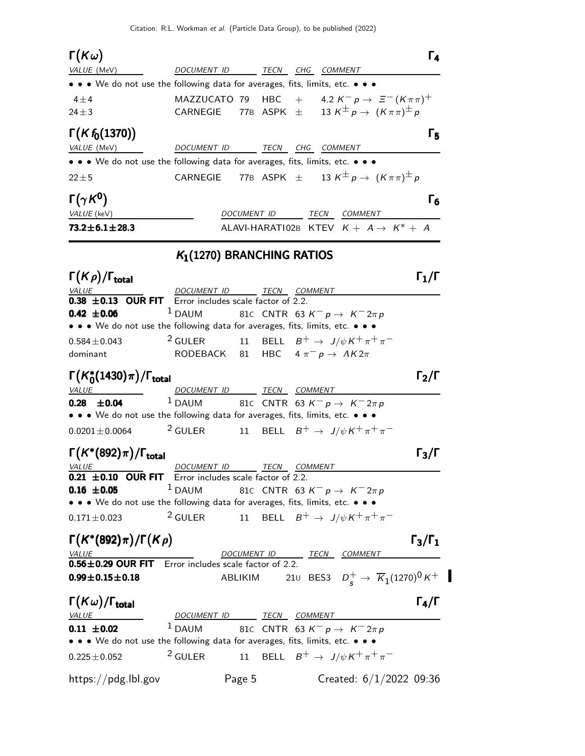Citation: R.L. Workman et al. (Particle Data Group), to be published (2022)

Γ $(\kappa$ ω)  $(K\omega)$   $\Gamma_4$ Γ $(K\omega)$  Γ<sub>4</sub>  $F(\omega)$  is a set of the set of the set of the set of the set of the set of the set of the set of the set of the set of the set of the set of the set of the set of the set of the set of the set of the set of the set of the VALUE (MeV) DOCUMENT ID TECN CHG COMMENT • • • We do not use the following data for averages, fits, limits, etc. • • •  $4\pm4$  MAZZUCATO 79 HBC +  $4.2 K^- p \rightarrow \Xi^- (K \pi \pi)^+$ 24 $\pm$ 3 CARNEGIE 77B ASPK  $\pm$  13  $K^{\pm}p \rightarrow (K\pi\pi)^{\pm}p$ Γ(K f<sub>0</sub>(1370)) Γ<sub>5</sub> VALUE (MeV) DOCUMENT ID TECN CHG COMMENT • • • We do not use the following data for averages, fits, limits, etc. • • • 22 $\pm$ 5 CARNEGIE 77B ASPK  $\pm$  13 K<sup> $\pm$ </sup> p  $\rightarrow$   $(K \pi \pi)^{\pm}$  p Γ $(\gamma K^0)$ Γ $(γK<sup>0</sup>)$  Γ<sub>6</sub> Γ $(\gamma K^0)$  Γ<sub>6</sub> Γ $(\gamma K^0)$  Γ ΓVALUE (keV) **DOCUMENT ID** TECN COMMENT **73.2** $\pm$ **6.1** $\pm$ **28.3** ALAVI-HARATI 02B KTEV  $K + A \rightarrow K^* + A$  $K_1(1270)$  BRANCHING RATIOS Γ $(K \rho)/\Gamma_{\text{total}}$  Γ<sub>1</sub>/Γ )/Γ<sub>total</sub>Γ $_1$ /Γ DOCUMENT ID TECN COMMENT  $0.38 \pm 0.13$  OUR FIT Error includes scale factor of 2.2. **0.42 ±0.06** <sup>1</sup> DAUM 81C CNTR 63 K<sup>-</sup>  $p \to K^- 2\pi p$ • • • We do not use the following data for averages, fits, limits, etc. • • • 0.584±0.043 <sup>2</sup> GULER 11 BELL  $B^+ \to J/\psi K^+ \pi^+ \pi^$ dominant RODEBACK 81 HBC  $4 \pi^- p \rightarrow AK2\pi$  $\Gamma(K_0^*)$  $\Gamma(K_0^*(1430)\pi)/\Gamma_{\text{total}}$  Γ<sub>2</sub>/Γ VALUE DOCUMENT ID TECN COMMENT **0.28 ±0.04** <sup>1</sup> DAUM 81C CNTR 63 K<sup>-</sup>  $p \to K^- 2\pi p$ • • • We do not use the following data for averages, fits, limits, etc. • • •  $0.0201 \pm 0.0064$  2 GULER 11 BELL  $B^+ \to J/\psi K^+ \pi^+ \pi^ \Gamma(K^*(892)\pi)/\Gamma_{\text{total}}$ Γ (κ<sup>+</sup>(892)π) VALUE DOCUMENT ID TECN COMMENT  $0.21 \pm 0.10$  OUR FIT Error includes scale factor of 2.2. **0.16 ±0.05** <sup>1</sup> DAUM 81C CNTR 63 K<sup>-</sup> p → K<sup>-</sup>2 $\pi$  p • • • We do not use the following data for averages, fits, limits, etc. • • • 0.171 $\pm$ 0.023 <sup>2</sup> GULER 11 BELL  $B^+ \rightarrow J/\psi K^+ \pi^+ \pi^ \Gamma(K^*(892)\pi)/\Gamma(K\rho)$  Γ<sub>3</sub>/Γ<sub>1</sub>  $\Gamma_3/\Gamma_1$ DOCUMENT ID TECN COMMENT  $0.56\pm0.29$  OUR FIT Error includes scale factor of 2.2.  $0.99\pm0.15\pm0.18$  ABLIKIM  $^+_s\rightarrow \overline{\mathcal{K}}_1$ (1270) $^0$  K $^+$ Γ $(K\omega)/\Gamma_{\text{total}}$  Γ<sub>4</sub>/Γ  $\Gamma_4/\Gamma$ VALUE DOCUMENT ID TECN COMMENT **0.11 ±0.02** <sup>1</sup> DAUM 81C CNTR 63 K<sup>-</sup> p → K<sup>-</sup>2 $\pi$ p • • • We do not use the following data for averages, fits, limits, etc. • • • 0.225±0.052 <sup>2</sup> GULER 11 BELL  $B^+ \to J/\psi K^+ \pi^+ \pi^$ https://pdg.lbl.gov Page 5 Created: 6/1/2022 09:36